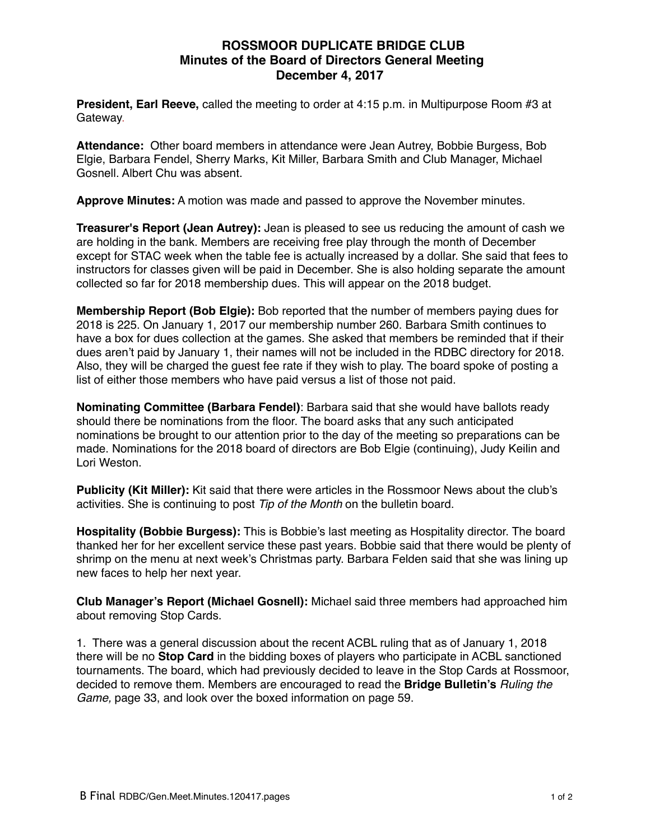## **ROSSMOOR DUPLICATE BRIDGE CLUB Minutes of the Board of Directors General Meeting December 4, 2017**

**President, Earl Reeve,** called the meeting to order at 4:15 p.m. in Multipurpose Room #3 at Gateway.

**Attendance:** Other board members in attendance were Jean Autrey, Bobbie Burgess, Bob Elgie, Barbara Fendel, Sherry Marks, Kit Miller, Barbara Smith and Club Manager, Michael Gosnell. Albert Chu was absent.

**Approve Minutes:** A motion was made and passed to approve the November minutes.

**Treasurer's Report (Jean Autrey):** Jean is pleased to see us reducing the amount of cash we are holding in the bank. Members are receiving free play through the month of December except for STAC week when the table fee is actually increased by a dollar. She said that fees to instructors for classes given will be paid in December. She is also holding separate the amount collected so far for 2018 membership dues. This will appear on the 2018 budget.

**Membership Report (Bob Elgie):** Bob reported that the number of members paying dues for 2018 is 225. On January 1, 2017 our membership number 260. Barbara Smith continues to have a box for dues collection at the games. She asked that members be reminded that if their dues aren't paid by January 1, their names will not be included in the RDBC directory for 2018. Also, they will be charged the guest fee rate if they wish to play. The board spoke of posting a list of either those members who have paid versus a list of those not paid.

**Nominating Committee (Barbara Fendel)**: Barbara said that she would have ballots ready should there be nominations from the floor. The board asks that any such anticipated nominations be brought to our attention prior to the day of the meeting so preparations can be made. Nominations for the 2018 board of directors are Bob Elgie (continuing), Judy Keilin and Lori Weston.

**Publicity (Kit Miller):** Kit said that there were articles in the Rossmoor News about the club's activities. She is continuing to post *Tip of the Month* on the bulletin board.

**Hospitality (Bobbie Burgess):** This is Bobbie's last meeting as Hospitality director. The board thanked her for her excellent service these past years. Bobbie said that there would be plenty of shrimp on the menu at next week's Christmas party. Barbara Felden said that she was lining up new faces to help her next year.

**Club Manager's Report (Michael Gosnell):** Michael said three members had approached him about removing Stop Cards.

1. There was a general discussion about the recent ACBL ruling that as of January 1, 2018 there will be no **Stop Card** in the bidding boxes of players who participate in ACBL sanctioned tournaments. The board, which had previously decided to leave in the Stop Cards at Rossmoor, decided to remove them. Members are encouraged to read the **Bridge Bulletin's** *Ruling the Game,* page 33, and look over the boxed information on page 59.